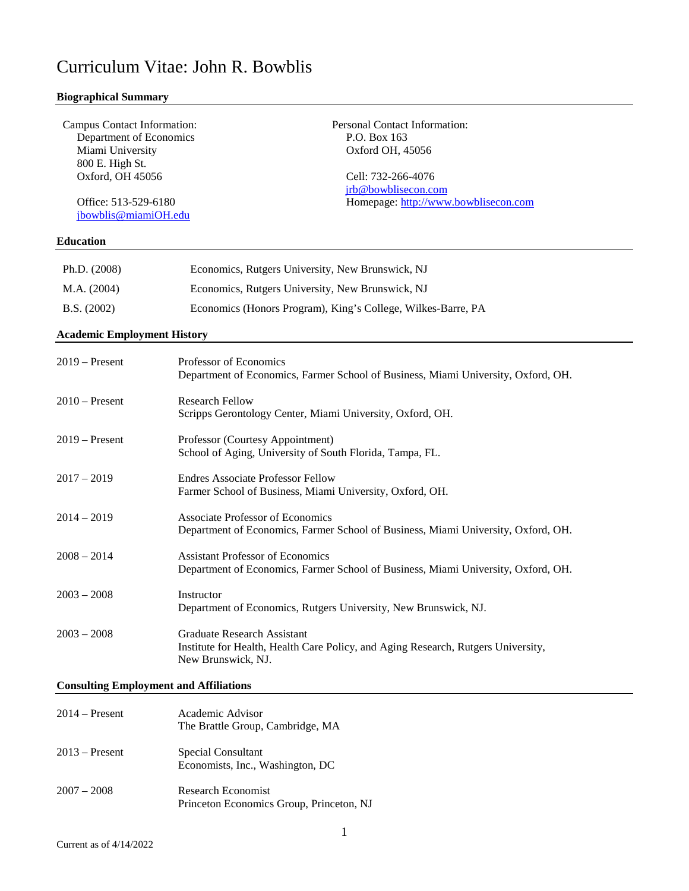# Curriculum Vitae: John R. Bowblis

# **Biographical Summary**

| Campus Contact Information:<br>Department of Economics<br>Miami University<br>800 E. High St.<br>Oxford, OH 45056<br>Office: 513-529-6180<br>jbowblis@miamiOH.edu<br><b>Education</b> | Personal Contact Information:<br>P.O. Box 163<br>Oxford OH, 45056<br>Cell: 732-266-4076<br>jrb@bowblisecon.com<br>Homepage: http://www.bowblisecon.com |
|---------------------------------------------------------------------------------------------------------------------------------------------------------------------------------------|--------------------------------------------------------------------------------------------------------------------------------------------------------|
| Ph.D. (2008)                                                                                                                                                                          | Economics, Rutgers University, New Brunswick, NJ                                                                                                       |
| M.A. (2004)                                                                                                                                                                           | Economics, Rutgers University, New Brunswick, NJ                                                                                                       |
| B.S. (2002)                                                                                                                                                                           | Economics (Honors Program), King's College, Wilkes-Barre, PA                                                                                           |
| <b>Academic Employment History</b>                                                                                                                                                    |                                                                                                                                                        |
| $2019 -$ Present                                                                                                                                                                      | Professor of Economics<br>Department of Economics, Farmer School of Business, Miami University, Oxford, OH.                                            |
| $2010$ – Present                                                                                                                                                                      | <b>Research Fellow</b><br>Scripps Gerontology Center, Miami University, Oxford, OH.                                                                    |
| $2019 -$ Present                                                                                                                                                                      | Professor (Courtesy Appointment)<br>School of Aging, University of South Florida, Tampa, FL.                                                           |
| $2017 - 2019$                                                                                                                                                                         | <b>Endres Associate Professor Fellow</b><br>Farmer School of Business, Miami University, Oxford, OH.                                                   |
| $2014 - 2019$                                                                                                                                                                         | Associate Professor of Economics<br>Department of Economics, Farmer School of Business, Miami University, Oxford, OH.                                  |
| $2008 - 2014$                                                                                                                                                                         | <b>Assistant Professor of Economics</b><br>Department of Economics, Farmer School of Business, Miami University, Oxford, OH.                           |
| $2003 - 2008$                                                                                                                                                                         | Instructor<br>Department of Economics, Rutgers University, New Brunswick, NJ.                                                                          |
| $2003 - 2008$                                                                                                                                                                         | <b>Graduate Research Assistant</b><br>Institute for Health, Health Care Policy, and Aging Research, Rutgers University,<br>New Brunswick, NJ.          |

# **Consulting Employment and Affiliations**

| $2014 -$ Present | Academic Advisor<br>The Brattle Group, Cambridge, MA           |
|------------------|----------------------------------------------------------------|
| $2013$ – Present | Special Consultant<br>Economists, Inc., Washington, DC         |
| $2007 - 2008$    | Research Economist<br>Princeton Economics Group, Princeton, NJ |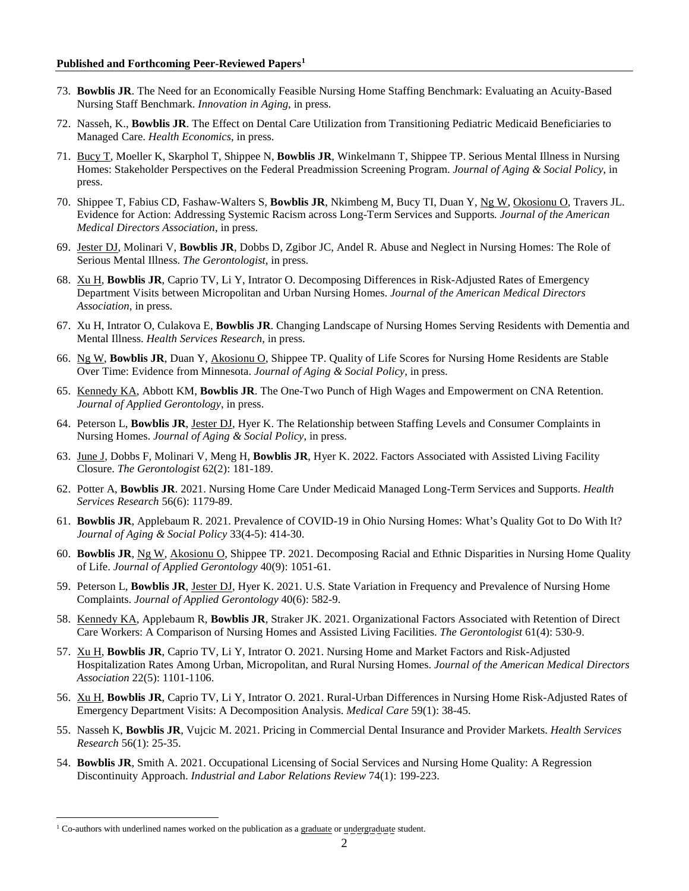- 73. **Bowblis JR**. The Need for an Economically Feasible Nursing Home Staffing Benchmark: Evaluating an Acuity-Based Nursing Staff Benchmark. *Innovation in Aging*, in press.
- 72. Nasseh, K., **Bowblis JR**. The Effect on Dental Care Utilization from Transitioning Pediatric Medicaid Beneficiaries to Managed Care. *Health Economics*, in press.
- 71. Bucy T, Moeller K, Skarphol T, Shippee N, **Bowblis JR**, Winkelmann T, Shippee TP. Serious Mental Illness in Nursing Homes: Stakeholder Perspectives on the Federal Preadmission Screening Program. *Journal of Aging & Social Policy*, in press.
- 70. Shippee T, Fabius CD, Fashaw-Walters S, **Bowblis JR**, Nkimbeng M, Bucy TI, Duan Y, Ng W, Okosionu O, Travers JL. Evidence for Action: Addressing Systemic Racism across Long-Term Services and Supports*. Journal of the American Medical Directors Association*, in press.
- 69. Jester DJ, Molinari V, **Bowblis JR**, Dobbs D, Zgibor JC, Andel R. Abuse and Neglect in Nursing Homes: The Role of Serious Mental Illness. *The Gerontologist*, in press.
- 68. Xu H, **Bowblis JR**, Caprio TV, Li Y, Intrator O. Decomposing Differences in Risk-Adjusted Rates of Emergency Department Visits between Micropolitan and Urban Nursing Homes. *Journal of the American Medical Directors Association*, in press.
- 67. Xu H, Intrator O, Culakova E, **Bowblis JR**. Changing Landscape of Nursing Homes Serving Residents with Dementia and Mental Illness. *Health Services Research*, in press.
- 66. Ng W, **Bowblis JR**, Duan Y, Akosionu O, Shippee TP. Quality of Life Scores for Nursing Home Residents are Stable Over Time: Evidence from Minnesota. *Journal of Aging & Social Policy*, in press.
- 65. Kennedy KA, Abbott KM, **Bowblis JR**. The One-Two Punch of High Wages and Empowerment on CNA Retention. *Journal of Applied Gerontology*, in press.
- 64. Peterson L, **Bowblis JR**, Jester DJ, Hyer K. The Relationship between Staffing Levels and Consumer Complaints in Nursing Homes. *Journal of Aging & Social Policy*, in press.
- 63. June J, Dobbs F, Molinari V, Meng H, **Bowblis JR**, Hyer K. 2022. Factors Associated with Assisted Living Facility Closure. *The Gerontologist* 62(2): 181-189.
- 62. Potter A, **Bowblis JR**. 2021. Nursing Home Care Under Medicaid Managed Long-Term Services and Supports. *Health Services Research* 56(6): 1179-89.
- 61. **Bowblis JR**, Applebaum R. 2021. Prevalence of COVID-19 in Ohio Nursing Homes: What's Quality Got to Do With It? *Journal of Aging & Social Policy* 33(4-5): 414-30.
- 60. **Bowblis JR**, Ng W, Akosionu O, Shippee TP. 2021. Decomposing Racial and Ethnic Disparities in Nursing Home Quality of Life. *Journal of Applied Gerontology* 40(9): 1051-61.
- 59. Peterson L, **Bowblis JR**, Jester DJ, Hyer K. 2021. U.S. State Variation in Frequency and Prevalence of Nursing Home Complaints. *Journal of Applied Gerontology* 40(6): 582-9.
- 58. Kennedy KA, Applebaum R, **Bowblis JR**, Straker JK. 2021. Organizational Factors Associated with Retention of Direct Care Workers: A Comparison of Nursing Homes and Assisted Living Facilities. *The Gerontologist* 61(4): 530-9.
- 57. Xu H, **Bowblis JR**, Caprio TV, Li Y, Intrator O. 2021. Nursing Home and Market Factors and Risk-Adjusted Hospitalization Rates Among Urban, Micropolitan, and Rural Nursing Homes. *Journal of the American Medical Directors Association* 22(5): 1101-1106.
- 56. Xu H, **Bowblis JR**, Caprio TV, Li Y, Intrator O. 2021. Rural-Urban Differences in Nursing Home Risk-Adjusted Rates of Emergency Department Visits: A Decomposition Analysis. *Medical Care* 59(1): 38-45.
- 55. Nasseh K, **Bowblis JR**, Vujcic M. 2021. Pricing in Commercial Dental Insurance and Provider Markets. *Health Services Research* 56(1): 25-35.
- 54. **Bowblis JR**, Smith A. 2021. Occupational Licensing of Social Services and Nursing Home Quality: A Regression Discontinuity Approach. *Industrial and Labor Relations Review* 74(1): 199-223.

<span id="page-1-0"></span><sup>&</sup>lt;sup>1</sup> Co-authors with underlined names worked on the publication as a graduate or undergraduate student.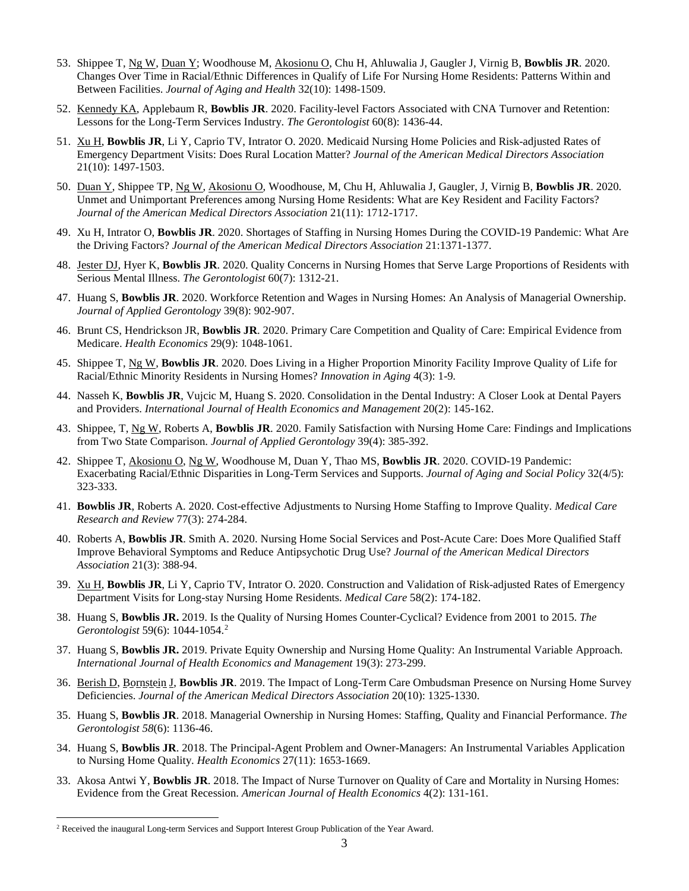- 53. Shippee T, Ng W, Duan Y; Woodhouse M, Akosionu O, Chu H, Ahluwalia J, Gaugler J, Virnig B, **Bowblis JR**. 2020. Changes Over Time in Racial/Ethnic Differences in Qualify of Life For Nursing Home Residents: Patterns Within and Between Facilities. *Journal of Aging and Health* 32(10): 1498-1509.
- 52. Kennedy KA, Applebaum R, **Bowblis JR**. 2020. Facility-level Factors Associated with CNA Turnover and Retention: Lessons for the Long-Term Services Industry. *The Gerontologist* 60(8): 1436-44.
- 51. Xu H, **Bowblis JR**, Li Y, Caprio TV, Intrator O. 2020. Medicaid Nursing Home Policies and Risk-adjusted Rates of Emergency Department Visits: Does Rural Location Matter? *Journal of the American Medical Directors Association* 21(10): 1497-1503.
- 50. Duan Y, Shippee TP, Ng W, Akosionu O, Woodhouse, M, Chu H, Ahluwalia J, Gaugler, J, Virnig B, **Bowblis JR**. 2020. Unmet and Unimportant Preferences among Nursing Home Residents: What are Key Resident and Facility Factors? *Journal of the American Medical Directors Association* 21(11): 1712-1717.
- 49. Xu H, Intrator O, **Bowblis JR**. 2020. Shortages of Staffing in Nursing Homes During the COVID-19 Pandemic: What Are the Driving Factors? *Journal of the American Medical Directors Association* 21:1371-1377.
- 48. Jester DJ, Hyer K, **Bowblis JR**. 2020. Quality Concerns in Nursing Homes that Serve Large Proportions of Residents with Serious Mental Illness. *The Gerontologist* 60(7): 1312-21.
- 47. Huang S, **Bowblis JR**. 2020. Workforce Retention and Wages in Nursing Homes: An Analysis of Managerial Ownership. *Journal of Applied Gerontology* 39(8): 902-907.
- 46. Brunt CS, Hendrickson JR, **Bowblis JR**. 2020. Primary Care Competition and Quality of Care: Empirical Evidence from Medicare. *Health Economics* 29(9): 1048-1061.
- 45. Shippee T, Ng W, **Bowblis JR**. 2020. Does Living in a Higher Proportion Minority Facility Improve Quality of Life for Racial/Ethnic Minority Residents in Nursing Homes? *Innovation in Aging* 4(3): 1-9*.*
- 44. Nasseh K, **Bowblis JR**, Vujcic M, Huang S. 2020. Consolidation in the Dental Industry: A Closer Look at Dental Payers and Providers. *International Journal of Health Economics and Management* 20(2): 145-162.
- 43. Shippee, T, Ng W, Roberts A, **Bowblis JR**. 2020. Family Satisfaction with Nursing Home Care: Findings and Implications from Two State Comparison. *Journal of Applied Gerontology* 39(4): 385-392.
- 42. Shippee T, Akosionu O, Ng W, Woodhouse M, Duan Y, Thao MS, **Bowblis JR**. 2020. COVID-19 Pandemic: Exacerbating Racial/Ethnic Disparities in Long-Term Services and Supports. *Journal of Aging and Social Policy* 32(4/5): 323-333.
- 41. **Bowblis JR**, Roberts A. 2020. Cost-effective Adjustments to Nursing Home Staffing to Improve Quality. *Medical Care Research and Review* 77(3): 274-284.
- 40. Roberts A, **Bowblis JR**. Smith A. 2020. Nursing Home Social Services and Post-Acute Care: Does More Qualified Staff Improve Behavioral Symptoms and Reduce Antipsychotic Drug Use? *Journal of the American Medical Directors Association* 21(3): 388-94.
- 39. Xu H, **Bowblis JR**, Li Y, Caprio TV, Intrator O. 2020. Construction and Validation of Risk-adjusted Rates of Emergency Department Visits for Long-stay Nursing Home Residents. *Medical Care* 58(2): 174-182.
- 38. Huang S, **Bowblis JR.** 2019. Is the Quality of Nursing Homes Counter-Cyclical? Evidence from 2001 to 2015. *The Gerontologist* 59(6): 1044-1054.[2](#page-2-0)
- 37. Huang S, **Bowblis JR.** 2019. Private Equity Ownership and Nursing Home Quality: An Instrumental Variable Approach. *International Journal of Health Economics and Management* 19(3): 273-299.
- 36. Berish D, Bornstein J, **Bowblis JR**. 2019. The Impact of Long-Term Care Ombudsman Presence on Nursing Home Survey Deficiencies. *Journal of the American Medical Directors Association* 20(10): 1325-1330.
- 35. Huang S, **Bowblis JR**. 2018. Managerial Ownership in Nursing Homes: Staffing, Quality and Financial Performance. *The Gerontologist 58*(6): 1136-46.
- 34. Huang S, **Bowblis JR**. 2018. The Principal-Agent Problem and Owner-Managers: An Instrumental Variables Application to Nursing Home Quality. *Health Economics* 27(11): 1653-1669.
- 33. Akosa Antwi Y, **Bowblis JR**. 2018. The Impact of Nurse Turnover on Quality of Care and Mortality in Nursing Homes: Evidence from the Great Recession. *American Journal of Health Economics* 4(2): 131-161.

<span id="page-2-0"></span><sup>&</sup>lt;sup>2</sup> Received the inaugural Long-term Services and Support Interest Group Publication of the Year Award.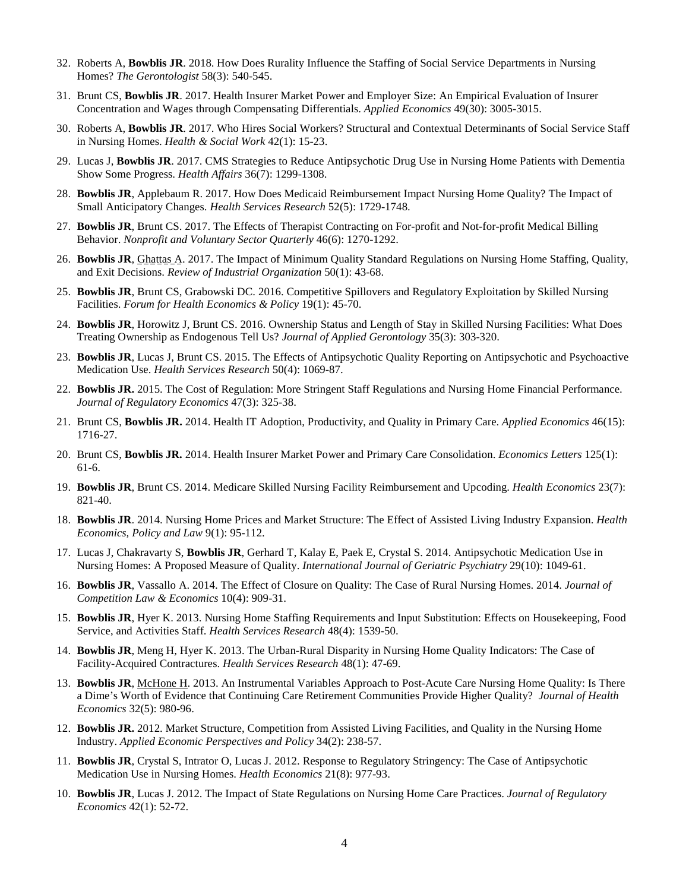- 32. Roberts A, **Bowblis JR**. 2018. How Does Rurality Influence the Staffing of Social Service Departments in Nursing Homes? *The Gerontologist* 58(3): 540-545.
- 31. Brunt CS, **Bowblis JR**. 2017. Health Insurer Market Power and Employer Size: An Empirical Evaluation of Insurer Concentration and Wages through Compensating Differentials. *Applied Economics* 49(30): 3005-3015.
- 30. Roberts A, **Bowblis JR**. 2017. Who Hires Social Workers? Structural and Contextual Determinants of Social Service Staff in Nursing Homes. *Health & Social Work* 42(1): 15-23.
- 29. Lucas J, **Bowblis JR**. 2017. CMS Strategies to Reduce Antipsychotic Drug Use in Nursing Home Patients with Dementia Show Some Progress. *Health Affairs* 36(7): 1299-1308.
- 28. **Bowblis JR**, Applebaum R. 2017. How Does Medicaid Reimbursement Impact Nursing Home Quality? The Impact of Small Anticipatory Changes. *Health Services Research* 52(5): 1729-1748.
- 27. **Bowblis JR**, Brunt CS. 2017. The Effects of Therapist Contracting on For-profit and Not-for-profit Medical Billing Behavior. *Nonprofit and Voluntary Sector Quarterly* 46(6): 1270-1292.
- 26. **Bowblis JR**, Ghattas A. 2017. The Impact of Minimum Quality Standard Regulations on Nursing Home Staffing, Quality, and Exit Decisions. *Review of Industrial Organization* 50(1): 43-68.
- 25. **Bowblis JR**, Brunt CS, Grabowski DC. 2016. Competitive Spillovers and Regulatory Exploitation by Skilled Nursing Facilities. *Forum for Health Economics & Policy* 19(1): 45-70.
- 24. **Bowblis JR**, Horowitz J, Brunt CS. 2016. Ownership Status and Length of Stay in Skilled Nursing Facilities: What Does Treating Ownership as Endogenous Tell Us? *Journal of Applied Gerontology* 35(3): 303-320.
- 23. **Bowblis JR**, Lucas J, Brunt CS. 2015. The Effects of Antipsychotic Quality Reporting on Antipsychotic and Psychoactive Medication Use. *Health Services Research* 50(4): 1069-87.
- 22. **Bowblis JR.** 2015. The Cost of Regulation: More Stringent Staff Regulations and Nursing Home Financial Performance. *Journal of Regulatory Economics* 47(3): 325-38.
- 21. Brunt CS, **Bowblis JR.** 2014. Health IT Adoption, Productivity, and Quality in Primary Care. *Applied Economics* 46(15): 1716-27.
- 20. Brunt CS, **Bowblis JR.** 2014. Health Insurer Market Power and Primary Care Consolidation. *Economics Letters* 125(1): 61-6.
- 19. **Bowblis JR**, Brunt CS. 2014. Medicare Skilled Nursing Facility Reimbursement and Upcoding. *Health Economics* 23(7): 821-40.
- 18. **Bowblis JR**. 2014. Nursing Home Prices and Market Structure: The Effect of Assisted Living Industry Expansion. *Health Economics, Policy and Law* 9(1): 95-112.
- 17. Lucas J, Chakravarty S, **Bowblis JR**, Gerhard T, Kalay E, Paek E, Crystal S. 2014. Antipsychotic Medication Use in Nursing Homes: A Proposed Measure of Quality. *International Journal of Geriatric Psychiatry* 29(10): 1049-61.
- 16. **Bowblis JR**, Vassallo A. 2014. The Effect of Closure on Quality: The Case of Rural Nursing Homes. 2014. *Journal of Competition Law & Economics* 10(4): 909-31.
- 15. **Bowblis JR**, Hyer K. 2013. Nursing Home Staffing Requirements and Input Substitution: Effects on Housekeeping, Food Service, and Activities Staff. *Health Services Research* 48(4): 1539-50.
- 14. **Bowblis JR**, Meng H, Hyer K. 2013. The Urban-Rural Disparity in Nursing Home Quality Indicators: The Case of Facility-Acquired Contractures. *Health Services Research* 48(1): 47-69.
- 13. **Bowblis JR**, McHone H. 2013. An Instrumental Variables Approach to Post-Acute Care Nursing Home Quality: Is There a Dime's Worth of Evidence that Continuing Care Retirement Communities Provide Higher Quality? *Journal of Health Economics* 32(5): 980-96.
- 12. **Bowblis JR.** 2012. Market Structure, Competition from Assisted Living Facilities, and Quality in the Nursing Home Industry. *Applied Economic Perspectives and Policy* 34(2): 238-57.
- 11. **Bowblis JR**, Crystal S, Intrator O, Lucas J. 2012. Response to Regulatory Stringency: The Case of Antipsychotic Medication Use in Nursing Homes. *Health Economics* 21(8): 977-93.
- 10. **Bowblis JR**, Lucas J. 2012. The Impact of State Regulations on Nursing Home Care Practices. *Journal of Regulatory Economics* 42(1): 52-72.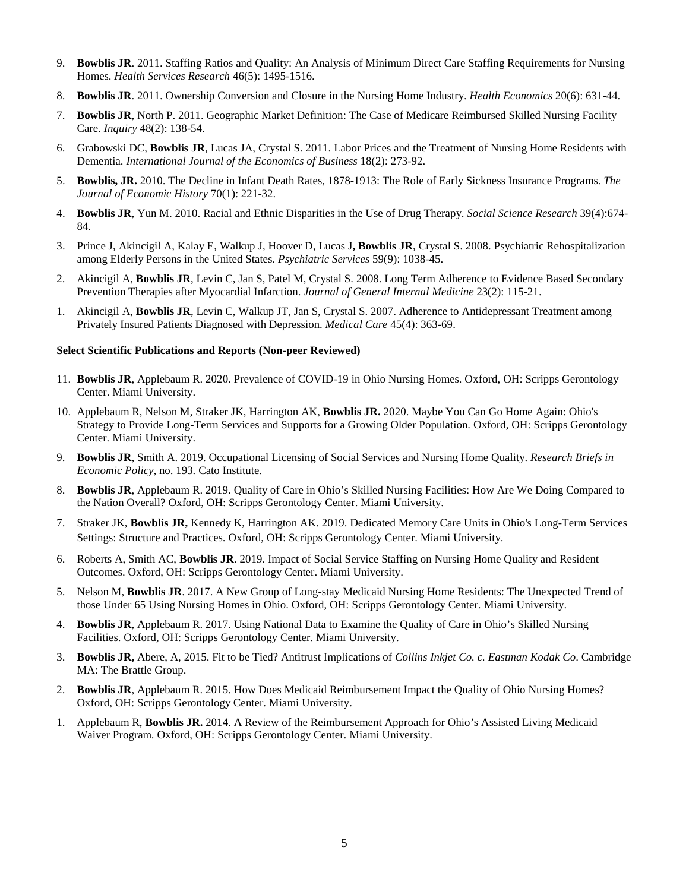- 9. **Bowblis JR**. 2011. Staffing Ratios and Quality: An Analysis of Minimum Direct Care Staffing Requirements for Nursing Homes. *Health Services Research* 46(5): 1495-1516.
- 8. **Bowblis JR**. 2011. Ownership Conversion and Closure in the Nursing Home Industry. *Health Economics* 20(6): 631-44.
- 7. **Bowblis JR**, North P. 2011. Geographic Market Definition: The Case of Medicare Reimbursed Skilled Nursing Facility Care. *Inquiry* 48(2): 138-54.
- 6. Grabowski DC, **Bowblis JR**, Lucas JA, Crystal S. 2011. Labor Prices and the Treatment of Nursing Home Residents with Dementia. *International Journal of the Economics of Business* 18(2): 273-92.
- 5. **Bowblis, JR.** 2010. The Decline in Infant Death Rates, 1878-1913: The Role of Early Sickness Insurance Programs. *The Journal of Economic History* 70(1): 221-32.
- 4. **Bowblis JR**, Yun M. 2010. Racial and Ethnic Disparities in the Use of Drug Therapy. *Social Science Research* 39(4):674- 84.
- 3. Prince J, Akincigil A, Kalay E, Walkup J, Hoover D, Lucas J**, Bowblis JR**, Crystal S. 2008. Psychiatric Rehospitalization among Elderly Persons in the United States. *Psychiatric Services* 59(9): 1038-45.
- 2. Akincigil A, **Bowblis JR**, Levin C, Jan S, Patel M, Crystal S. 2008. Long Term Adherence to Evidence Based Secondary Prevention Therapies after Myocardial Infarction. *Journal of General Internal Medicine* 23(2): 115-21.
- 1. Akincigil A, **Bowblis JR**, Levin C, Walkup JT, Jan S, Crystal S. 2007. Adherence to Antidepressant Treatment among Privately Insured Patients Diagnosed with Depression. *Medical Care* 45(4): 363-69.

## **Select Scientific Publications and Reports (Non-peer Reviewed)**

- 11. **Bowblis JR**, Applebaum R. 2020. Prevalence of COVID-19 in Ohio Nursing Homes. Oxford, OH: Scripps Gerontology Center. Miami University.
- 10. Applebaum R, Nelson M, Straker JK, Harrington AK, **Bowblis JR.** 2020. Maybe You Can Go Home Again: Ohio's Strategy to Provide Long-Term Services and Supports for a Growing Older Population. Oxford, OH: Scripps Gerontology Center. Miami University.
- 9. **Bowblis JR**, Smith A. 2019. Occupational Licensing of Social Services and Nursing Home Quality. *Research Briefs in Economic Policy*, no. 193. Cato Institute.
- **Bowblis JR**, Applebaum R. 2019. Quality of Care in Ohio's Skilled Nursing Facilities: How Are We Doing Compared to the Nation Overall? Oxford, OH: Scripps Gerontology Center. Miami University.
- 7. Straker JK, **Bowblis JR,** Kennedy K, Harrington AK. 2019. Dedicated Memory Care Units in Ohio's Long-Term Services Settings: Structure and Practices. Oxford, OH: Scripps Gerontology Center. Miami University.
- 6. Roberts A, Smith AC, **Bowblis JR**. 2019. Impact of Social Service Staffing on Nursing Home Quality and Resident Outcomes. Oxford, OH: Scripps Gerontology Center. Miami University.
- 5. Nelson M, **Bowblis JR**. 2017. A New Group of Long-stay Medicaid Nursing Home Residents: The Unexpected Trend of those Under 65 Using Nursing Homes in Ohio. Oxford, OH: Scripps Gerontology Center. Miami University.
- 4. **Bowblis JR**, Applebaum R. 2017. Using National Data to Examine the Quality of Care in Ohio's Skilled Nursing Facilities. Oxford, OH: Scripps Gerontology Center. Miami University.
- 3. **Bowblis JR,** Abere, A, 2015. Fit to be Tied? Antitrust Implications of *Collins Inkjet Co. c. Eastman Kodak Co*. Cambridge MA: The Brattle Group.
- 2. **Bowblis JR**, Applebaum R. 2015. How Does Medicaid Reimbursement Impact the Quality of Ohio Nursing Homes? Oxford, OH: Scripps Gerontology Center. Miami University.
- 1. Applebaum R, **Bowblis JR.** 2014. A Review of the Reimbursement Approach for Ohio's Assisted Living Medicaid Waiver Program. Oxford, OH: Scripps Gerontology Center. Miami University.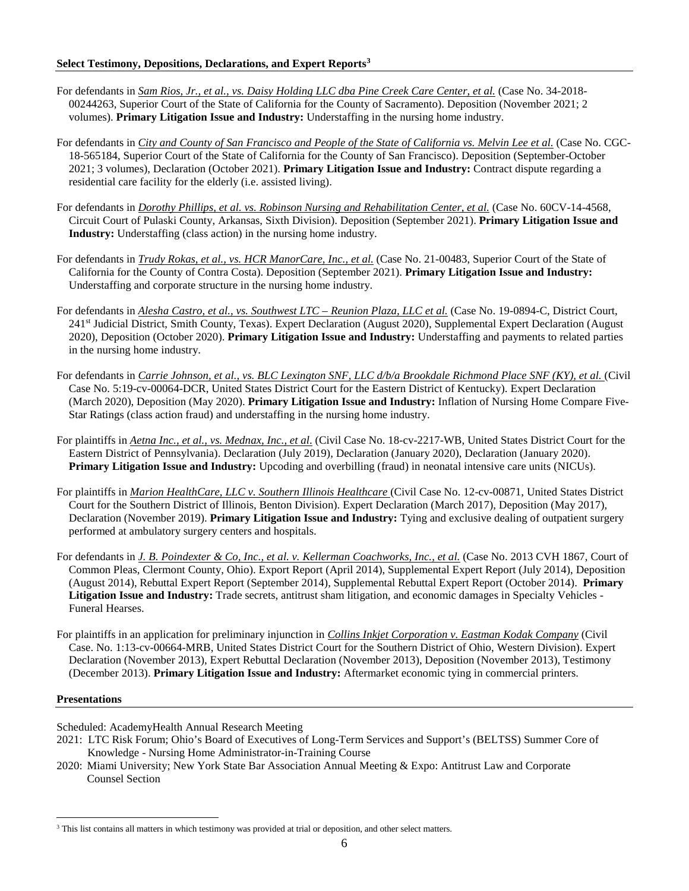- For defendants in *Sam Rios, Jr., et al., vs. Daisy Holding LLC dba Pine Creek Care Center, et al.* (Case No. 34-2018- 00244263, Superior Court of the State of California for the County of Sacramento). Deposition (November 2021; 2 volumes). **Primary Litigation Issue and Industry:** Understaffing in the nursing home industry.
- For defendants in *City and County of San Francisco and People of the State of California vs. Melvin Lee et al.* (Case No. CGC-18-565184, Superior Court of the State of California for the County of San Francisco). Deposition (September-October 2021; 3 volumes), Declaration (October 2021). **Primary Litigation Issue and Industry:** Contract dispute regarding a residential care facility for the elderly (i.e. assisted living).
- For defendants in *Dorothy Phillips, et al. vs. Robinson Nursing and Rehabilitation Center, et al.* (Case No. 60CV-14-4568, Circuit Court of Pulaski County, Arkansas, Sixth Division). Deposition (September 2021). **Primary Litigation Issue and Industry:** Understaffing (class action) in the nursing home industry.
- For defendants in *Trudy Rokas, et al., vs. HCR ManorCare, Inc., et al.* (Case No. 21-00483, Superior Court of the State of California for the County of Contra Costa). Deposition (September 2021). **Primary Litigation Issue and Industry:**  Understaffing and corporate structure in the nursing home industry.
- For defendants in *Alesha Castro, et al., vs. Southwest LTC – Reunion Plaza, LLC et al.* (Case No. 19-0894-C, District Court, 241st Judicial District, Smith County, Texas). Expert Declaration (August 2020), Supplemental Expert Declaration (August 2020), Deposition (October 2020). **Primary Litigation Issue and Industry:** Understaffing and payments to related parties in the nursing home industry.
- For defendants in *Carrie Johnson, et al., vs. BLC Lexington SNF, LLC d/b/a Brookdale Richmond Place SNF (KY), et al.* (Civil Case No. 5:19-cv-00064-DCR, United States District Court for the Eastern District of Kentucky). Expert Declaration (March 2020), Deposition (May 2020). **Primary Litigation Issue and Industry:** Inflation of Nursing Home Compare Five-Star Ratings (class action fraud) and understaffing in the nursing home industry.
- For plaintiffs in *Aetna Inc., et al., vs. Mednax, Inc., et al*. (Civil Case No. 18-cv-2217-WB, United States District Court for the Eastern District of Pennsylvania). Declaration (July 2019), Declaration (January 2020), Declaration (January 2020). **Primary Litigation Issue and Industry:** Upcoding and overbilling (fraud) in neonatal intensive care units (NICUs).
- For plaintiffs in *Marion HealthCare, LLC v. Southern Illinois Healthcare* (Civil Case No. 12-cv-00871, United States District Court for the Southern District of Illinois, Benton Division). Expert Declaration (March 2017), Deposition (May 2017), Declaration (November 2019). **Primary Litigation Issue and Industry:** Tying and exclusive dealing of outpatient surgery performed at ambulatory surgery centers and hospitals.
- For defendants in *J. B. Poindexter & Co, Inc., et al. v. Kellerman Coachworks, Inc., et al.* (Case No. 2013 CVH 1867, Court of Common Pleas, Clermont County, Ohio). Export Report (April 2014), Supplemental Expert Report (July 2014), Deposition (August 2014), Rebuttal Expert Report (September 2014), Supplemental Rebuttal Expert Report (October 2014). **Primary Litigation Issue and Industry:** Trade secrets, antitrust sham litigation, and economic damages in Specialty Vehicles - Funeral Hearses.
- For plaintiffs in an application for preliminary injunction in *Collins Inkjet Corporation v. Eastman Kodak Company* (Civil Case. No. 1:13-cv-00664-MRB, United States District Court for the Southern District of Ohio, Western Division). Expert Declaration (November 2013), Expert Rebuttal Declaration (November 2013), Deposition (November 2013), Testimony (December 2013). **Primary Litigation Issue and Industry:** Aftermarket economic tying in commercial printers.

## **Presentations**

Scheduled: AcademyHealth Annual Research Meeting

- 2021: LTC Risk Forum; Ohio's Board of Executives of Long-Term Services and Support's (BELTSS) Summer Core of Knowledge - Nursing Home Administrator-in-Training Course
- 2020: Miami University; New York State Bar Association Annual Meeting & Expo: Antitrust Law and Corporate Counsel Section

<span id="page-5-0"></span><sup>&</sup>lt;sup>3</sup> This list contains all matters in which testimony was provided at trial or deposition, and other select matters.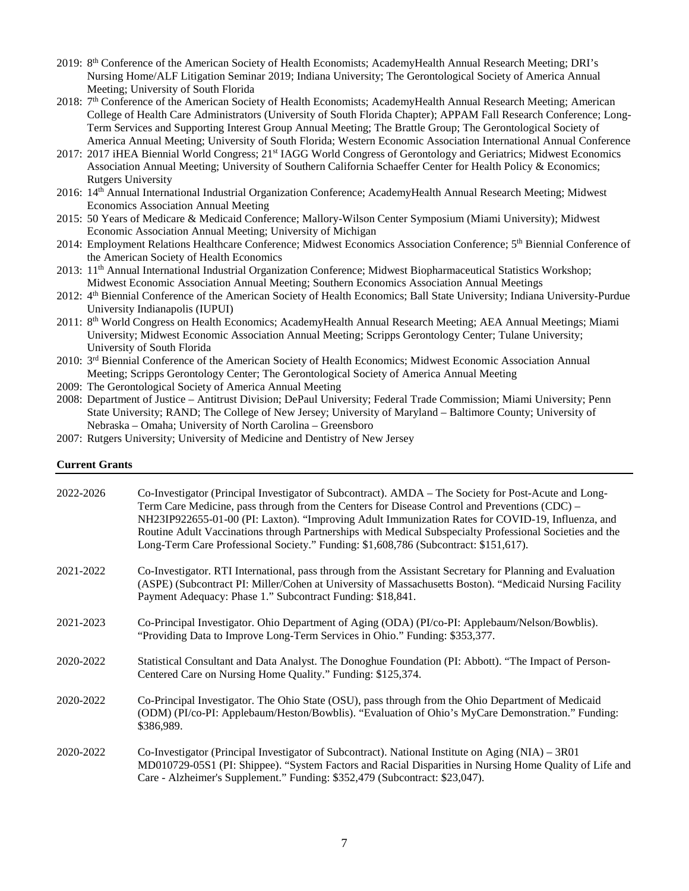- 2019: 8<sup>th</sup> Conference of the American Society of Health Economists; AcademyHealth Annual Research Meeting; DRI's Nursing Home/ALF Litigation Seminar 2019; Indiana University; The Gerontological Society of America Annual Meeting; University of South Florida
- 2018: 7<sup>th</sup> Conference of the American Society of Health Economists; AcademyHealth Annual Research Meeting; American College of Health Care Administrators (University of South Florida Chapter); APPAM Fall Research Conference; Long-Term Services and Supporting Interest Group Annual Meeting; The Brattle Group; The Gerontological Society of America Annual Meeting; University of South Florida; Western Economic Association International Annual Conference
- 2017: 2017 iHEA Biennial World Congress; 21st IAGG World Congress of Gerontology and Geriatrics; Midwest Economics Association Annual Meeting; University of Southern California Schaeffer Center for Health Policy & Economics; Rutgers University
- 2016: 14th Annual International Industrial Organization Conference; AcademyHealth Annual Research Meeting; Midwest Economics Association Annual Meeting
- 2015: 50 Years of Medicare & Medicaid Conference; Mallory-Wilson Center Symposium (Miami University); Midwest Economic Association Annual Meeting; University of Michigan
- 2014: Employment Relations Healthcare Conference; Midwest Economics Association Conference; 5<sup>th</sup> Biennial Conference of the American Society of Health Economics
- 2013: 11th Annual International Industrial Organization Conference; Midwest Biopharmaceutical Statistics Workshop; Midwest Economic Association Annual Meeting; Southern Economics Association Annual Meetings
- 2012: 4th Biennial Conference of the American Society of Health Economics; Ball State University; Indiana University-Purdue University Indianapolis (IUPUI)
- 2011: 8<sup>th</sup> World Congress on Health Economics; AcademyHealth Annual Research Meeting; AEA Annual Meetings; Miami University; Midwest Economic Association Annual Meeting; Scripps Gerontology Center; Tulane University; University of South Florida
- 2010: 3rd Biennial Conference of the American Society of Health Economics; Midwest Economic Association Annual Meeting; Scripps Gerontology Center; The Gerontological Society of America Annual Meeting
- 2009: The Gerontological Society of America Annual Meeting
- 2008: Department of Justice Antitrust Division; DePaul University; Federal Trade Commission; Miami University; Penn State University; RAND; The College of New Jersey; University of Maryland – Baltimore County; University of Nebraska – Omaha; University of North Carolina – Greensboro
- 2007: Rutgers University; University of Medicine and Dentistry of New Jersey

## **Current Grants**

| 2022-2026 | Co-Investigator (Principal Investigator of Subcontract). AMDA – The Society for Post-Acute and Long-<br>Term Care Medicine, pass through from the Centers for Disease Control and Preventions (CDC) –<br>NH23IP922655-01-00 (PI: Laxton). "Improving Adult Immunization Rates for COVID-19, Influenza, and<br>Routine Adult Vaccinations through Partnerships with Medical Subspecialty Professional Societies and the<br>Long-Term Care Professional Society." Funding: \$1,608,786 (Subcontract: \$151,617). |
|-----------|----------------------------------------------------------------------------------------------------------------------------------------------------------------------------------------------------------------------------------------------------------------------------------------------------------------------------------------------------------------------------------------------------------------------------------------------------------------------------------------------------------------|
| 2021-2022 | Co-Investigator. RTI International, pass through from the Assistant Secretary for Planning and Evaluation<br>(ASPE) (Subcontract PI: Miller/Cohen at University of Massachusetts Boston). "Medicaid Nursing Facility<br>Payment Adequacy: Phase 1." Subcontract Funding: \$18,841.                                                                                                                                                                                                                             |
| 2021-2023 | Co-Principal Investigator. Ohio Department of Aging (ODA) (PI/co-PI: Applebaum/Nelson/Bowblis).<br>"Providing Data to Improve Long-Term Services in Ohio." Funding: \$353,377.                                                                                                                                                                                                                                                                                                                                 |
| 2020-2022 | Statistical Consultant and Data Analyst. The Donoghue Foundation (PI: Abbott). "The Impact of Person-<br>Centered Care on Nursing Home Quality." Funding: \$125,374.                                                                                                                                                                                                                                                                                                                                           |
| 2020-2022 | Co-Principal Investigator. The Ohio State (OSU), pass through from the Ohio Department of Medicaid<br>(ODM) (PI/co-PI: Applebaum/Heston/Bowblis). "Evaluation of Ohio's MyCare Demonstration." Funding:<br>\$386,989.                                                                                                                                                                                                                                                                                          |
| 2020-2022 | Co-Investigator (Principal Investigator of Subcontract). National Institute on Aging (NIA) – 3R01<br>MD010729-05S1 (PI: Shippee). "System Factors and Racial Disparities in Nursing Home Quality of Life and<br>Care - Alzheimer's Supplement." Funding: \$352,479 (Subcontract: \$23,047).                                                                                                                                                                                                                    |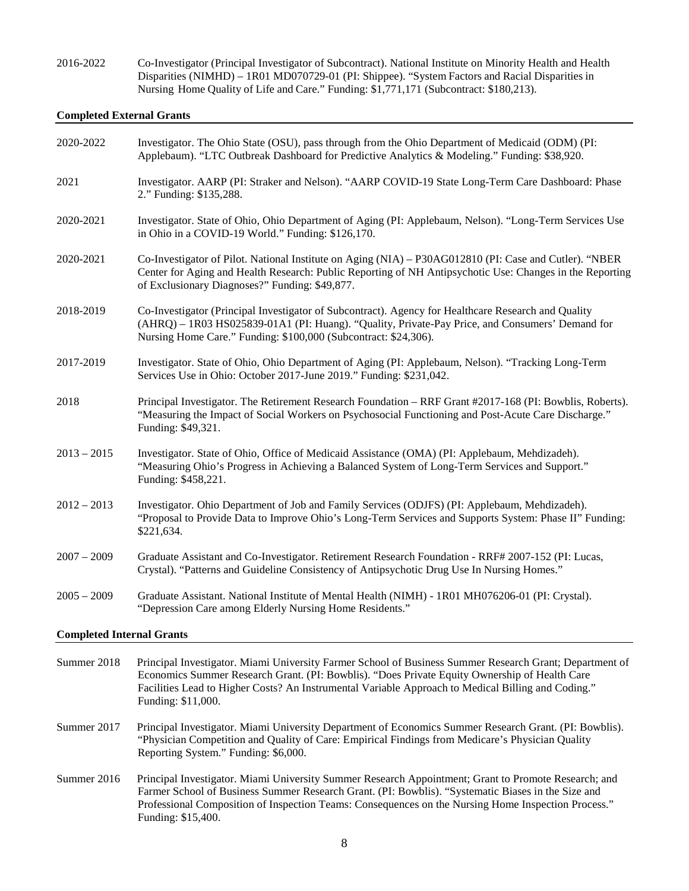2016-2022 Co-Investigator (Principal Investigator of Subcontract). National Institute on Minority Health and Health Disparities (NIMHD) – 1R01 MD070729-01 (PI: Shippee). "System Factors and Racial Disparities in Nursing Home Quality of Life and Care." Funding: \$1,771,171 (Subcontract: \$180,213).

## **Completed External Grants**

| 2020-2022                        | Investigator. The Ohio State (OSU), pass through from the Ohio Department of Medicaid (ODM) (PI:<br>Applebaum). "LTC Outbreak Dashboard for Predictive Analytics & Modeling." Funding: \$38,920.                                                                                                                                        |
|----------------------------------|-----------------------------------------------------------------------------------------------------------------------------------------------------------------------------------------------------------------------------------------------------------------------------------------------------------------------------------------|
| 2021                             | Investigator. AARP (PI: Straker and Nelson). "AARP COVID-19 State Long-Term Care Dashboard: Phase<br>2." Funding: \$135,288.                                                                                                                                                                                                            |
| 2020-2021                        | Investigator. State of Ohio, Ohio Department of Aging (PI: Applebaum, Nelson). "Long-Term Services Use<br>in Ohio in a COVID-19 World." Funding: \$126,170.                                                                                                                                                                             |
| 2020-2021                        | Co-Investigator of Pilot. National Institute on Aging (NIA) – P30AG012810 (PI: Case and Cutler). "NBER<br>Center for Aging and Health Research: Public Reporting of NH Antipsychotic Use: Changes in the Reporting<br>of Exclusionary Diagnoses?" Funding: \$49,877.                                                                    |
| 2018-2019                        | Co-Investigator (Principal Investigator of Subcontract). Agency for Healthcare Research and Quality<br>(AHRQ) - 1R03 HS025839-01A1 (PI: Huang). "Quality, Private-Pay Price, and Consumers' Demand for<br>Nursing Home Care." Funding: \$100,000 (Subcontract: \$24,306).                                                               |
| 2017-2019                        | Investigator. State of Ohio, Ohio Department of Aging (PI: Applebaum, Nelson). "Tracking Long-Term<br>Services Use in Ohio: October 2017-June 2019." Funding: \$231,042.                                                                                                                                                                |
| 2018                             | Principal Investigator. The Retirement Research Foundation - RRF Grant #2017-168 (PI: Bowblis, Roberts).<br>"Measuring the Impact of Social Workers on Psychosocial Functioning and Post-Acute Care Discharge."<br>Funding: \$49,321.                                                                                                   |
| $2013 - 2015$                    | Investigator. State of Ohio, Office of Medicaid Assistance (OMA) (PI: Applebaum, Mehdizadeh).<br>"Measuring Ohio's Progress in Achieving a Balanced System of Long-Term Services and Support."<br>Funding: \$458,221.                                                                                                                   |
| $2012 - 2013$                    | Investigator. Ohio Department of Job and Family Services (ODJFS) (PI: Applebaum, Mehdizadeh).<br>"Proposal to Provide Data to Improve Ohio's Long-Term Services and Supports System: Phase II" Funding:<br>\$221,634.                                                                                                                   |
| $2007 - 2009$                    | Graduate Assistant and Co-Investigator. Retirement Research Foundation - RRF# 2007-152 (PI: Lucas,<br>Crystal). "Patterns and Guideline Consistency of Antipsychotic Drug Use In Nursing Homes."                                                                                                                                        |
| $2005 - 2009$                    | Graduate Assistant. National Institute of Mental Health (NIMH) - 1R01 MH076206-01 (PI: Crystal).<br>"Depression Care among Elderly Nursing Home Residents."                                                                                                                                                                             |
| <b>Completed Internal Grants</b> |                                                                                                                                                                                                                                                                                                                                         |
| Summer 2018                      | Principal Investigator. Miami University Farmer School of Business Summer Research Grant; Department of<br>Economics Summer Research Grant. (PI: Bowblis). "Does Private Equity Ownership of Health Care<br>Facilities Lead to Higher Costs? An Instrumental Variable Approach to Medical Billing and Coding."<br>Funding: \$11,000.    |
| Summer 2017                      | Principal Investigator. Miami University Department of Economics Summer Research Grant. (PI: Bowblis).<br>"Physician Competition and Quality of Care: Empirical Findings from Medicare's Physician Quality<br>Reporting System." Funding: \$6,000.                                                                                      |
| Summer 2016                      | Principal Investigator. Miami University Summer Research Appointment; Grant to Promote Research; and<br>Farmer School of Business Summer Research Grant. (PI: Bowblis). "Systematic Biases in the Size and<br>Professional Composition of Inspection Teams: Consequences on the Nursing Home Inspection Process."<br>Funding: \$15,400. |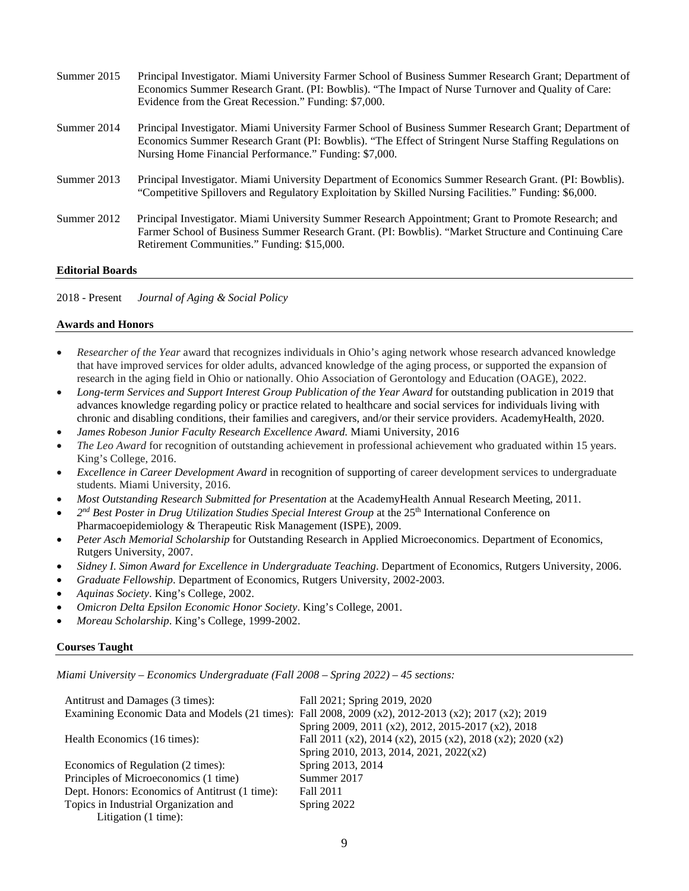| Summer 2015 | Principal Investigator. Miami University Farmer School of Business Summer Research Grant; Department of<br>Economics Summer Research Grant. (PI: Bowblis). "The Impact of Nurse Turnover and Quality of Care:<br>Evidence from the Great Recession." Funding: \$7,000.     |
|-------------|----------------------------------------------------------------------------------------------------------------------------------------------------------------------------------------------------------------------------------------------------------------------------|
| Summer 2014 | Principal Investigator. Miami University Farmer School of Business Summer Research Grant; Department of<br>Economics Summer Research Grant (PI: Bowblis). "The Effect of Stringent Nurse Staffing Regulations on<br>Nursing Home Financial Performance." Funding: \$7,000. |
| Summer 2013 | Principal Investigator. Miami University Department of Economics Summer Research Grant. (PI: Bowblis).<br>"Competitive Spillovers and Regulatory Exploitation by Skilled Nursing Facilities." Funding: \$6,000.                                                            |
| Summer 2012 | Principal Investigator. Miami University Summer Research Appointment; Grant to Promote Research; and<br>Farmer School of Business Summer Research Grant. (PI: Bowblis). "Market Structure and Continuing Care<br>Retirement Communities." Funding: \$15,000.               |
| יי מני מות  |                                                                                                                                                                                                                                                                            |

## **Editorial Boards**

| $2018$ - Present |  | Journal of Aging & Social Policy |  |  |
|------------------|--|----------------------------------|--|--|
|------------------|--|----------------------------------|--|--|

#### **Awards and Honors**

- *Researcher of the Year* award that recognizes individuals in Ohio's aging network whose research advanced knowledge that have improved services for older adults, advanced knowledge of the aging process, or supported the expansion of research in the aging field in Ohio or nationally. Ohio Association of Gerontology and Education (OAGE), 2022.
- *Long-term Services and Support Interest Group Publication of the Year Award* for outstanding publication in 2019 that advances knowledge regarding policy or practice related to healthcare and social services for individuals living with chronic and disabling conditions, their families and caregivers, and/or their service providers. AcademyHealth, 2020.
- *James Robeson Junior Faculty Research Excellence Award.* Miami University, 2016
- *The Leo Award* for recognition of outstanding achievement in professional achievement who graduated within 15 years. King's College, 2016.
- *Excellence in Career Development Award* in recognition of supporting of career development services to undergraduate students. Miami University, 2016.
- *Most Outstanding Research Submitted for Presentation* at the AcademyHealth Annual Research Meeting, 2011.
- 2<sup>nd</sup> Best Poster in Drug Utilization Studies Special Interest Group at the 25<sup>th</sup> International Conference on Pharmacoepidemiology & Therapeutic Risk Management (ISPE), 2009.
- *Peter Asch Memorial Scholarship* for Outstanding Research in Applied Microeconomics. Department of Economics, Rutgers University, 2007.
- *Sidney I. Simon Award for Excellence in Undergraduate Teaching*. Department of Economics, Rutgers University, 2006.
- *Graduate Fellowship*. Department of Economics, Rutgers University, 2002-2003.
- *Aquinas Society*. King's College, 2002.
- *Omicron Delta Epsilon Economic Honor Society*. King's College, 2001.
- *Moreau Scholarship*. King's College, 1999-2002.

#### **Courses Taught**

*Miami University – Economics Undergraduate (Fall 2008 – Spring 2022) – 45 sections:*

| Antitrust and Damages (3 times):               | Fall 2021; Spring 2019, 2020                                                                         |
|------------------------------------------------|------------------------------------------------------------------------------------------------------|
|                                                | Examining Economic Data and Models (21 times): Fall 2008, 2009 (x2), 2012-2013 (x2); 2017 (x2); 2019 |
|                                                | Spring 2009, 2011 (x2), 2012, 2015-2017 (x2), 2018                                                   |
| Health Economics (16 times):                   | Fall 2011 (x2), 2014 (x2), 2015 (x2), 2018 (x2); 2020 (x2)                                           |
|                                                | Spring 2010, 2013, 2014, 2021, 2022(x2)                                                              |
| Economics of Regulation (2 times):             | Spring 2013, 2014                                                                                    |
| Principles of Microeconomics (1 time)          | Summer 2017                                                                                          |
| Dept. Honors: Economics of Antitrust (1 time): | Fall 2011                                                                                            |
| Topics in Industrial Organization and          | Spring 2022                                                                                          |
| $\mathbf{I}$ is a set on $(1, 1, \ldots)$ .    |                                                                                                      |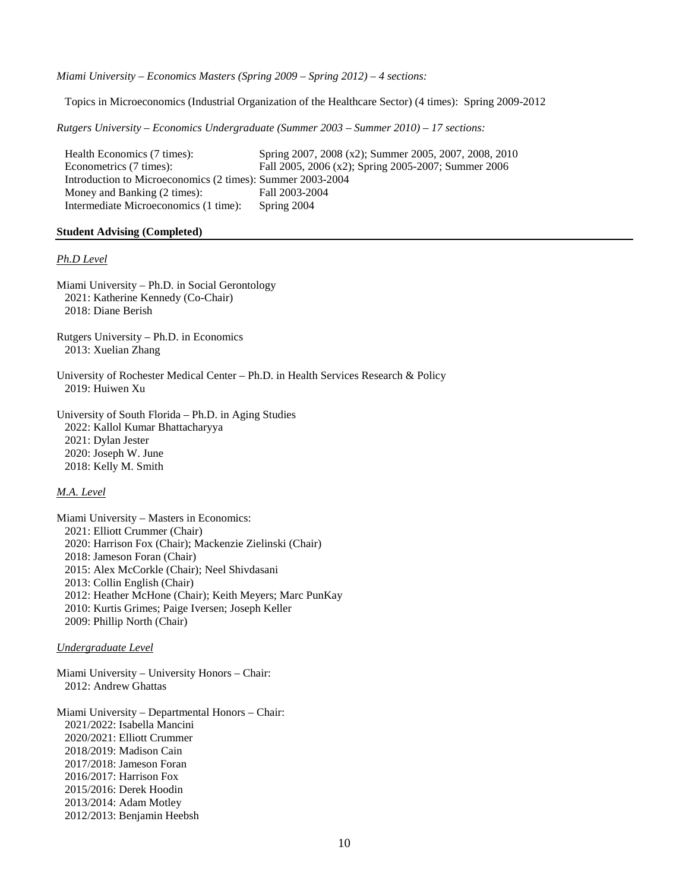*Miami University – Economics Masters (Spring 2009 – Spring 2012) – 4 sections:*

Topics in Microeconomics (Industrial Organization of the Healthcare Sector) (4 times): Spring 2009-2012

*Rutgers University – Economics Undergraduate (Summer 2003 – Summer 2010) – 17 sections:*

Health Economics (7 times): Spring 2007, 2008 (x2); Summer 2005, 2007, 2008, 2010 Econometrics (7 times): Fall 2005, 2006 (x2); Spring 2005-2007; Summer 2006 Introduction to Microeconomics (2 times): Summer 2003-2004<br>Money and Banking (2 times): Fall 2003-2004 Money and Banking  $(2 \text{ times})$ : Intermediate Microeconomics (1 time): Spring 2004

#### **Student Advising (Completed)**

#### *Ph.D Level*

Miami University – Ph.D. in Social Gerontology 2021: Katherine Kennedy (Co-Chair) 2018: Diane Berish

Rutgers University – Ph.D. in Economics 2013: Xuelian Zhang

University of Rochester Medical Center – Ph.D. in Health Services Research & Policy 2019: Huiwen Xu

University of South Florida – Ph.D. in Aging Studies 2022: Kallol Kumar Bhattacharyya 2021: Dylan Jester 2020: Joseph W. June 2018: Kelly M. Smith

#### *M.A. Level*

Miami University – Masters in Economics: 2021: Elliott Crummer (Chair) 2020: Harrison Fox (Chair); Mackenzie Zielinski (Chair) 2018: Jameson Foran (Chair) 2015: Alex McCorkle (Chair); Neel Shivdasani 2013: Collin English (Chair) 2012: Heather McHone (Chair); Keith Meyers; Marc PunKay 2010: Kurtis Grimes; Paige Iversen; Joseph Keller 2009: Phillip North (Chair)

#### *Undergraduate Level*

Miami University – University Honors – Chair: 2012: Andrew Ghattas

Miami University – Departmental Honors – Chair: 2021/2022: Isabella Mancini 2020/2021: Elliott Crummer 2018/2019: Madison Cain 2017/2018: Jameson Foran 2016/2017: Harrison Fox 2015/2016: Derek Hoodin 2013/2014: Adam Motley 2012/2013: Benjamin Heebsh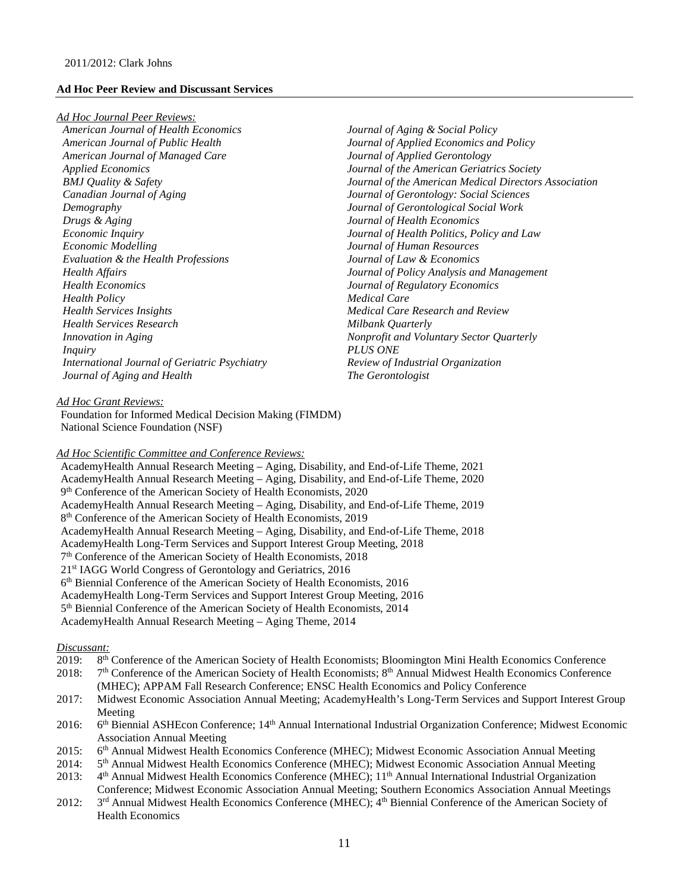#### **Ad Hoc Peer Review and Discussant Services**

#### *Ad Hoc Journal Peer Reviews:*

*American Journal of Health Economics American Journal of Public Health American Journal of Managed Care Applied Economics BMJ Quality & Safety Canadian Journal of Aging Demography Drugs & Aging Economic Inquiry Economic Modelling Evaluation & the Health Professions Health Affairs Health Economics Health Policy Health Services Insights Health Services Research Innovation in Aging Inquiry International Journal of Geriatric Psychiatry Journal of Aging and Health*

*Journal of Aging & Social Policy Journal of Applied Economics and Policy Journal of Applied Gerontology Journal of the American Geriatrics Society Journal of the American Medical Directors Association Journal of Gerontology: Social Sciences Journal of Gerontological Social Work Journal of Health Economics Journal of Health Politics, Policy and Law Journal of Human Resources Journal of Law & Economics Journal of Policy Analysis and Management Journal of Regulatory Economics Medical Care Medical Care Research and Review Milbank Quarterly Nonprofit and Voluntary Sector Quarterly PLUS ONE Review of Industrial Organization The Gerontologist*

## *Ad Hoc Grant Reviews:*

Foundation for Informed Medical Decision Making (FIMDM) National Science Foundation (NSF)

## *Ad Hoc Scientific Committee and Conference Reviews:*

AcademyHealth Annual Research Meeting – Aging, Disability, and End-of-Life Theme, 2021 AcademyHealth Annual Research Meeting – Aging, Disability, and End-of-Life Theme, 2020 9th Conference of the American Society of Health Economists, 2020 AcademyHealth Annual Research Meeting – Aging, Disability, and End-of-Life Theme, 2019 8th Conference of the American Society of Health Economists, 2019 AcademyHealth Annual Research Meeting – Aging, Disability, and End-of-Life Theme, 2018 AcademyHealth Long-Term Services and Support Interest Group Meeting, 2018 7th Conference of the American Society of Health Economists, 2018 21st IAGG World Congress of Gerontology and Geriatrics, 2016 6th Biennial Conference of the American Society of Health Economists, 2016 AcademyHealth Long-Term Services and Support Interest Group Meeting, 2016 5th Biennial Conference of the American Society of Health Economists, 2014 AcademyHealth Annual Research Meeting – Aging Theme, 2014

## *Discussant:*

2019: 8th Conference of the American Society of Health Economists; Bloomington Mini Health Economics Conference 2018: 7<sup>th</sup> Conference of the American Society of Health Economists; 8<sup>th</sup> Annual Midwest Health Economics Conference

(MHEC); APPAM Fall Research Conference; ENSC Health Economics and Policy Conference

- 2017: Midwest Economic Association Annual Meeting; AcademyHealth's Long-Term Services and Support Interest Group Meeting
- 2016: 6<sup>th</sup> Biennial ASHEcon Conference; 14<sup>th</sup> Annual International Industrial Organization Conference; Midwest Economic Association Annual Meeting
- 2015: 6<sup>th</sup> Annual Midwest Health Economics Conference (MHEC); Midwest Economic Association Annual Meeting
- 2014: 5<sup>th</sup> Annual Midwest Health Economics Conference (MHEC); Midwest Economic Association Annual Meeting
- 2013: 4<sup>th</sup> Annual Midwest Health Economics Conference (MHEC); 11<sup>th</sup> Annual International Industrial Organization Conference; Midwest Economic Association Annual Meeting; Southern Economics Association Annual Meetings
- 2012: 3<sup>rd</sup> Annual Midwest Health Economics Conference (MHEC); 4<sup>th</sup> Biennial Conference of the American Society of Health Economics